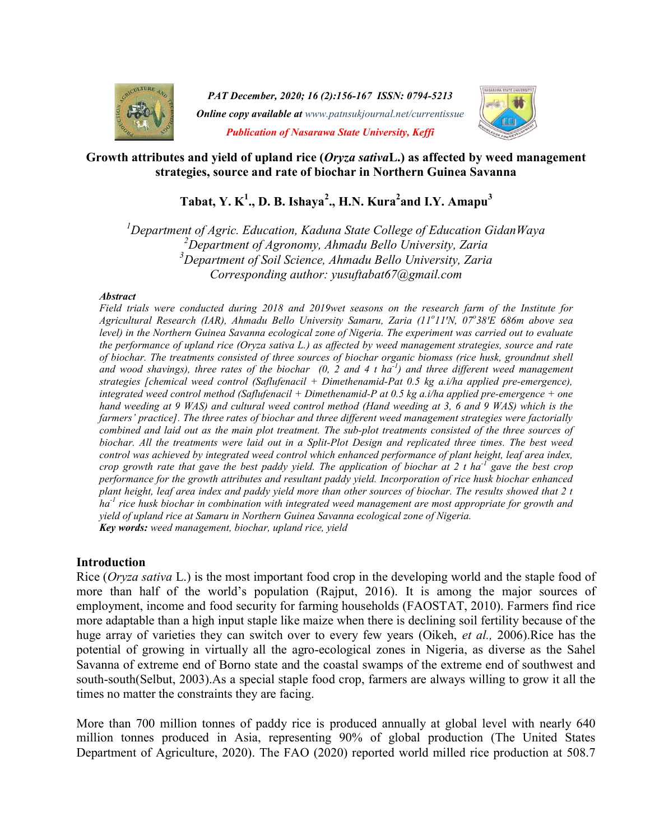

PAT December, 2020; 16 (2):156-167 ISSN: 0794-5213 **Online copy available at** www.patnsukjournal.net/currentissue Publication of Nasarawa State University, Keffi



### Growth attributes and yield of upland rice (Oryza sativaL.) as affected by weed management strategies, source and rate of biochar in Northern Guinea Savanna

# Tabat, Y. K<sup>1</sup>., D. B. Ishaya<sup>2</sup>., H.N. Kura<sup>2</sup>and I.Y. Amapu<sup>3</sup>

<sup>1</sup>Department of Agric. Education, Kaduna State College of Education GidanWaya  $2$ Department of Agronomy, Ahmadu Bello University, Zaria  $3$ Department of Soil Science, Ahmadu Bello University, Zaria Corresponding author: yusuftabat67@gmail.com

#### **Abstract**

Field trials were conducted during 2018 and 2019wet seasons on the research farm of the Institute for Agricultural Research (IAR), Ahmadu Bello University Samaru, Zaria (11°11'N, 07°38'E 686m above sea level) in the Northern Guinea Savanna ecological zone of Nigeria. The experiment was carried out to evaluate the performance of upland rice (Oryza sativa L.) as affected by weed management strategies, source and rate of biochar. The treatments consisted of three sources of biochar organic biomass (rice husk, groundnut shell and wood shavings), three rates of the biochar (0, 2 and 4 t ha<sup>-1</sup>) and three different weed management strategies [chemical weed control (Saflufenacil + Dimethenamid-Pat 0.5 kg a.i/ha applied pre-emergence), integrated weed control method (Saflufenacil + Dimethenamid-P at  $0.5$  kg a.i/ha applied pre-emergence + one hand weeding at 9 WAS) and cultural weed control method (Hand weeding at 3, 6 and 9 WAS) which is the farmers' practice]. The three rates of biochar and three different weed management strategies were factorially combined and laid out as the main plot treatment. The sub-plot treatments consisted of the three sources of biochar. All the treatments were laid out in a Split-Plot Design and replicated three times. The best weed control was achieved by integrated weed control which enhanced performance of plant height, leaf area index, crop growth rate that gave the best paddy yield. The application of biochar at 2 t ha<sup>-1</sup> gave the best crop performance for the growth attributes and resultant paddy yield. Incorporation of rice husk biochar enhanced plant height, leaf area index and paddy yield more than other sources of biochar. The results showed that 2 t  $ha^{-1}$  rice husk biochar in combination with integrated weed management are most appropriate for growth and yield of upland rice at Samaru in Northern Guinea Savanna ecological zone of Nigeria. Key words: weed management, biochar, upland rice, yield

### Introduction

Rice (Oryza sativa L.) is the most important food crop in the developing world and the staple food of more than half of the world's population (Rajput, 2016). It is among the major sources of employment, income and food security for farming households (FAOSTAT, 2010). Farmers find rice more adaptable than a high input staple like maize when there is declining soil fertility because of the huge array of varieties they can switch over to every few years (Oikeh, *et al.*, 2006). Rice has the potential of growing in virtually all the agro-ecological zones in Nigeria, as diverse as the Sahel Savanna of extreme end of Borno state and the coastal swamps of the extreme end of southwest and south-south(Selbut, 2003).As a special staple food crop, farmers are always willing to grow it all the times no matter the constraints they are facing.

More than 700 million tonnes of paddy rice is produced annually at global level with nearly 640 million tonnes produced in Asia, representing 90% of global production (The United States Department of Agriculture, 2020). The FAO (2020) reported world milled rice production at 508.7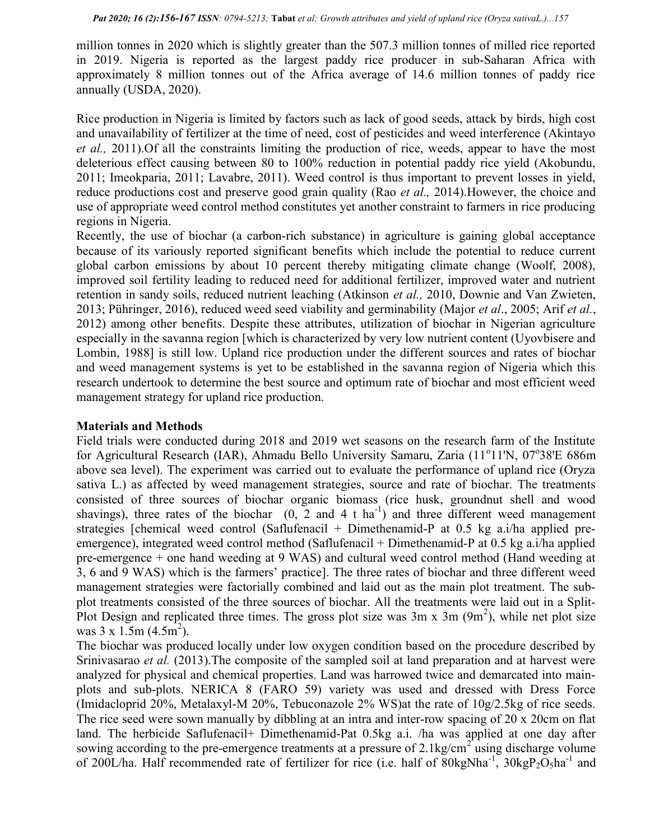million tonnes in 2020 which is slightly greater than the 507.3 million tonnes of milled rice reported in 2019. Nigeria is reported as the largest paddy rice producer in sub-Saharan Africa with approximately 8 million tonnes out of the Africa average of 14.6 million tonnes of paddy rice annually (USDA, 2020).

Rice production in Nigeria is limited by factors such as lack of good seeds, attack by birds, high cost and unavailability of fertilizer at the time of need, cost of pesticides and weed interference (Akintayo et al., 2011). Of all the constraints limiting the production of rice, weeds, appear to have the most deleterious effect causing between 80 to 100% reduction in potential paddy rice yield (Akobundu, 2011; Imeokparia, 2011; Lavabre, 2011). Weed control is thus important to prevent losses in yield, reduce productions cost and preserve good grain quality (Rao *et al.*, 2014). However, the choice and use of appropriate weed control method constitutes yet another constraint to farmers in rice producing regions in Nigeria.

Recently, the use of biochar (a carbon-rich substance) in agriculture is gaining global acceptance because of its variously reported significant benefits which include the potential to reduce current global carbon emissions by about 10 percent thereby mitigating climate change (Woolf, 2008), improved soil fertility leading to reduced need for additional fertilizer, improved water and nutrient retention in sandy soils, reduced nutrient leaching (Atkinson *et al.*, 2010, Downie and Van Zwieten, 2013; Pühringer, 2016), reduced weed seed viability and germinability (Major et al., 2005; Arif et al., 2012) among other benefits. Despite these attributes, utilization of biochar in Nigerian agriculture especially in the savanna region [which is characterized by very low nutrient content (Uyovbisere and Lombin, 1988] is still low. Upland rice production under the different sources and rates of biochar and weed management systems is yet to be established in the savanna region of Nigeria which this research undertook to determine the best source and optimum rate of biochar and most efficient weed management strategy for upland rice production.

### Materials and Methods

Field trials were conducted during 2018 and 2019 wet seasons on the research farm of the Institute for Agricultural Research (IAR), Ahmadu Bello University Samaru, Zaria (11<sup>o</sup>11'N, 07<sup>o</sup>38'E 686m above sea level). The experiment was carried out to evaluate the performance of upland rice (Oryza sativa L.) as affected by weed management strategies, source and rate of biochar. The treatments consisted of three sources of biochar organic biomass (rice husk, groundnut shell and wood shavings), three rates of the biochar  $(0, 2 \text{ and } 4 \text{ t} \text{ ha}^{-1})$  and three different weed management strategies [chemical weed control (Saflufenacil + Dimethenamid-P at 0.5 kg a.i/ha applied preemergence), integrated weed control method (Saflufenacil + Dimethenamid-P at 0.5 kg a.i/ha applied pre-emergence + one hand weeding at 9 WAS) and cultural weed control method (Hand weeding at 3, 6 and 9 WAS) which is the farmers' practice]. The three rates of biochar and three different weed management strategies were factorially combined and laid out as the main plot treatment. The subplot treatments consisted of the three sources of biochar. All the treatments were laid out in a Split-Plot Design and replicated three times. The gross plot size was  $3m \times 3m$  ( $9m^2$ ), while net plot size was  $3 \times 1.5$ m  $(4.5 \text{m}^2)$ .

The biochar was produced locally under low oxygen condition based on the procedure described by Srinivasarao et al. (2013). The composite of the sampled soil at land preparation and at harvest were analyzed for physical and chemical properties. Land was harrowed twice and demarcated into mainplots and sub-plots. NERICA 8 (FARO 59) variety was used and dressed with Dress Force (Imidacloprid 20%, Metalaxyl-M 20%, Tebuconazole 2% WS)at the rate of 10g/2.5kg of rice seeds. The rice seed were sown manually by dibbling at an intra and inter-row spacing of 20 x 20cm on flat land. The herbicide Saflufenacil+ Dimethenamid-Pat 0.5kg a.i. /ha was applied at one day after sowing according to the pre-emergence treatments at a pressure of  $2.1 \text{kg/cm}^2$  using discharge volume of 200L/ha. Half recommended rate of fertilizer for rice (i.e. half of  $80kgNha^{-1}$ ,  $30kgP_2O_5ha^{-1}$  and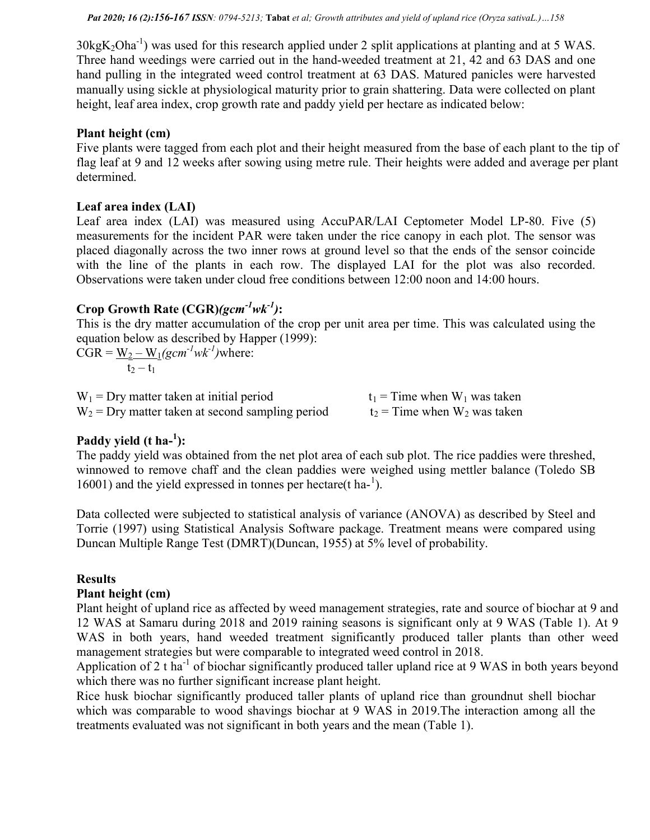$30\text{kgK}_2\text{Oha}^{-1}$ ) was used for this research applied under 2 split applications at planting and at 5 WAS. Three hand weedings were carried out in the hand-weeded treatment at 21, 42 and 63 DAS and one hand pulling in the integrated weed control treatment at 63 DAS. Matured panicles were harvested manually using sickle at physiological maturity prior to grain shattering. Data were collected on plant height, leaf area index, crop growth rate and paddy yield per hectare as indicated below:

### Plant height (cm)

Five plants were tagged from each plot and their height measured from the base of each plant to the tip of flag leaf at 9 and 12 weeks after sowing using metre rule. Their heights were added and average per plant determined.

### Leaf area index (LAI)

Leaf area index (LAI) was measured using AccuPAR/LAI Ceptometer Model LP-80. Five (5) measurements for the incident PAR were taken under the rice canopy in each plot. The sensor was placed diagonally across the two inner rows at ground level so that the ends of the sensor coincide with the line of the plants in each row. The displayed LAI for the plot was also recorded. Observations were taken under cloud free conditions between 12:00 noon and 14:00 hours.

## Crop Growth Rate  $(CGR)(gcm^{-1}wk^{-1})$ :

This is the dry matter accumulation of the crop per unit area per time. This was calculated using the equation below as described by Happer (1999):

 $CGR = W_2 - W_1(gcm^{-1}wk^{-1})$  where:  $t_2 - t_1$ 

| $W_1$ = Dry matter taken at initial period         | $t_1$ = Time when $W_1$ was taken |
|----------------------------------------------------|-----------------------------------|
| $W_2$ = Dry matter taken at second sampling period | $t_2$ = Time when $W_2$ was taken |

## Paddy yield  $(t \text{ ha}^{-1})$ :

The paddy yield was obtained from the net plot area of each sub plot. The rice paddies were threshed, winnowed to remove chaff and the clean paddies were weighed using mettler balance (Toledo SB  $16001$ ) and the yield expressed in tonnes per hectare(t ha- $^1$ ).

Data collected were subjected to statistical analysis of variance (ANOVA) as described by Steel and Torrie (1997) using Statistical Analysis Software package. Treatment means were compared using Duncan Multiple Range Test (DMRT)(Duncan, 1955) at 5% level of probability.

### Results

### Plant height (cm)

Plant height of upland rice as affected by weed management strategies, rate and source of biochar at 9 and 12 WAS at Samaru during 2018 and 2019 raining seasons is significant only at 9 WAS (Table 1). At 9 WAS in both years, hand weeded treatment significantly produced taller plants than other weed management strategies but were comparable to integrated weed control in 2018.

Application of 2 t ha<sup>-1</sup> of biochar significantly produced taller upland rice at 9 WAS in both years beyond which there was no further significant increase plant height.

Rice husk biochar significantly produced taller plants of upland rice than groundnut shell biochar which was comparable to wood shavings biochar at 9 WAS in 2019.The interaction among all the treatments evaluated was not significant in both years and the mean (Table 1).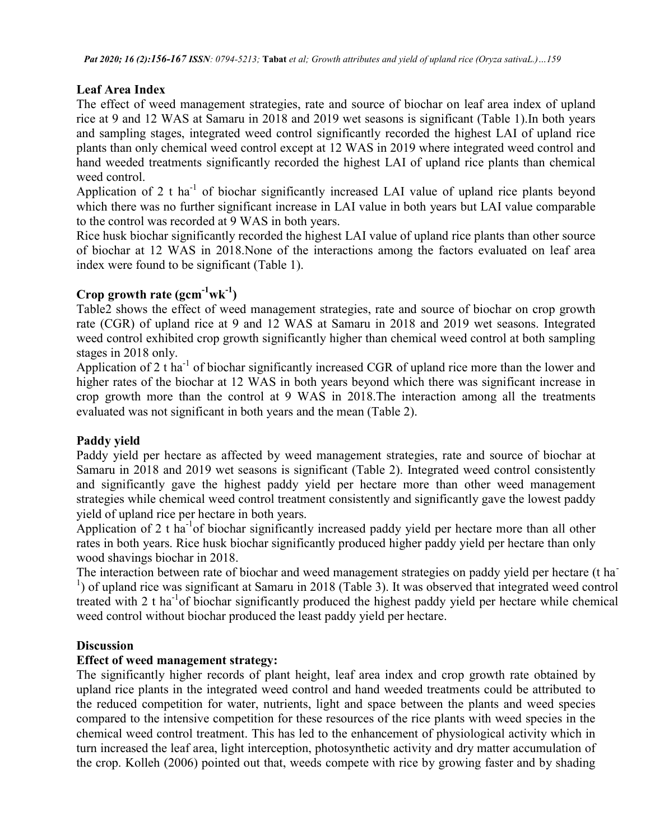Pat 2020; 16 (2):156-167 ISSN: 0794-5213; Tabat et al; Growth attributes and yield of upland rice (Oryza sativaL.)…159

## Leaf Area Index

The effect of weed management strategies, rate and source of biochar on leaf area index of upland rice at 9 and 12 WAS at Samaru in 2018 and 2019 wet seasons is significant (Table 1).In both years and sampling stages, integrated weed control significantly recorded the highest LAI of upland rice plants than only chemical weed control except at 12 WAS in 2019 where integrated weed control and hand weeded treatments significantly recorded the highest LAI of upland rice plants than chemical weed control.

Application of 2 t ha<sup>-1</sup> of biochar significantly increased LAI value of upland rice plants beyond which there was no further significant increase in LAI value in both years but LAI value comparable to the control was recorded at 9 WAS in both years.

Rice husk biochar significantly recorded the highest LAI value of upland rice plants than other source of biochar at 12 WAS in 2018.None of the interactions among the factors evaluated on leaf area index were found to be significant (Table 1).

## Crop growth rate  $(\text{gcm}^{-1}\text{wk}^{-1})$

Table2 shows the effect of weed management strategies, rate and source of biochar on crop growth rate (CGR) of upland rice at 9 and 12 WAS at Samaru in 2018 and 2019 wet seasons. Integrated weed control exhibited crop growth significantly higher than chemical weed control at both sampling stages in 2018 only.

Application of 2 t ha<sup>-1</sup> of biochar significantly increased CGR of upland rice more than the lower and higher rates of the biochar at 12 WAS in both years beyond which there was significant increase in crop growth more than the control at 9 WAS in 2018.The interaction among all the treatments evaluated was not significant in both years and the mean (Table 2).

### Paddy yield

Paddy yield per hectare as affected by weed management strategies, rate and source of biochar at Samaru in 2018 and 2019 wet seasons is significant (Table 2). Integrated weed control consistently and significantly gave the highest paddy yield per hectare more than other weed management strategies while chemical weed control treatment consistently and significantly gave the lowest paddy yield of upland rice per hectare in both years.

Application of 2 t ha<sup>-1</sup>of biochar significantly increased paddy yield per hectare more than all other rates in both years. Rice husk biochar significantly produced higher paddy yield per hectare than only wood shavings biochar in 2018.

The interaction between rate of biochar and weed management strategies on paddy yield per hectare (t ha-<sup>1</sup>) of upland rice was significant at Samaru in 2018 (Table 3). It was observed that integrated weed control treated with 2 t ha<sup>-1</sup>of biochar significantly produced the highest paddy yield per hectare while chemical weed control without biochar produced the least paddy yield per hectare.

### **Discussion**

### Effect of weed management strategy:

The significantly higher records of plant height, leaf area index and crop growth rate obtained by upland rice plants in the integrated weed control and hand weeded treatments could be attributed to the reduced competition for water, nutrients, light and space between the plants and weed species compared to the intensive competition for these resources of the rice plants with weed species in the chemical weed control treatment. This has led to the enhancement of physiological activity which in turn increased the leaf area, light interception, photosynthetic activity and dry matter accumulation of the crop. Kolleh (2006) pointed out that, weeds compete with rice by growing faster and by shading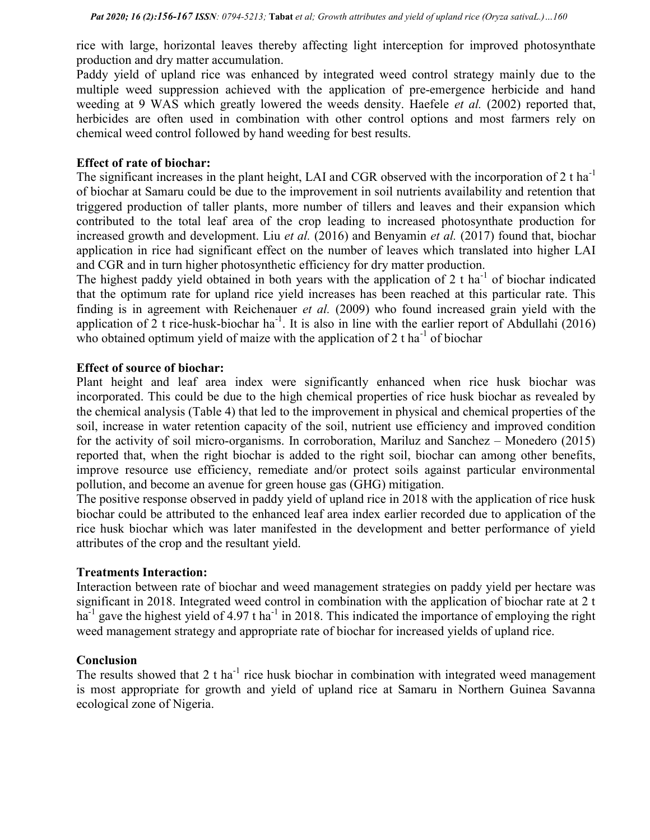rice with large, horizontal leaves thereby affecting light interception for improved photosynthate production and dry matter accumulation.

Paddy yield of upland rice was enhanced by integrated weed control strategy mainly due to the multiple weed suppression achieved with the application of pre-emergence herbicide and hand weeding at 9 WAS which greatly lowered the weeds density. Haefele *et al.* (2002) reported that, herbicides are often used in combination with other control options and most farmers rely on chemical weed control followed by hand weeding for best results.

### Effect of rate of biochar:

The significant increases in the plant height, LAI and CGR observed with the incorporation of 2 t ha<sup>-1</sup> of biochar at Samaru could be due to the improvement in soil nutrients availability and retention that triggered production of taller plants, more number of tillers and leaves and their expansion which contributed to the total leaf area of the crop leading to increased photosynthate production for increased growth and development. Liu et al. (2016) and Benyamin et al. (2017) found that, biochar application in rice had significant effect on the number of leaves which translated into higher LAI and CGR and in turn higher photosynthetic efficiency for dry matter production.

The highest paddy yield obtained in both years with the application of 2 t ha $^{-1}$  of biochar indicated that the optimum rate for upland rice yield increases has been reached at this particular rate. This finding is in agreement with Reichenauer et al. (2009) who found increased grain yield with the application of 2 t rice-husk-biochar ha<sup>-1</sup>. It is also in line with the earlier report of Abdullahi (2016) who obtained optimum yield of maize with the application of 2 t ha<sup>-1</sup> of biochar

### Effect of source of biochar:

Plant height and leaf area index were significantly enhanced when rice husk biochar was incorporated. This could be due to the high chemical properties of rice husk biochar as revealed by the chemical analysis (Table 4) that led to the improvement in physical and chemical properties of the soil, increase in water retention capacity of the soil, nutrient use efficiency and improved condition for the activity of soil micro-organisms. In corroboration, Mariluz and Sanchez – Monedero (2015) reported that, when the right biochar is added to the right soil, biochar can among other benefits, improve resource use efficiency, remediate and/or protect soils against particular environmental pollution, and become an avenue for green house gas (GHG) mitigation.

The positive response observed in paddy yield of upland rice in 2018 with the application of rice husk biochar could be attributed to the enhanced leaf area index earlier recorded due to application of the rice husk biochar which was later manifested in the development and better performance of yield attributes of the crop and the resultant yield.

### Treatments Interaction:

Interaction between rate of biochar and weed management strategies on paddy yield per hectare was significant in 2018. Integrated weed control in combination with the application of biochar rate at 2 t ha<sup>-1</sup> gave the highest yield of 4.97 t ha<sup>-1</sup> in 2018. This indicated the importance of employing the right weed management strategy and appropriate rate of biochar for increased yields of upland rice.

### **Conclusion**

The results showed that  $2 \text{ t}$  ha<sup>-1</sup> rice husk biochar in combination with integrated weed management is most appropriate for growth and yield of upland rice at Samaru in Northern Guinea Savanna ecological zone of Nigeria.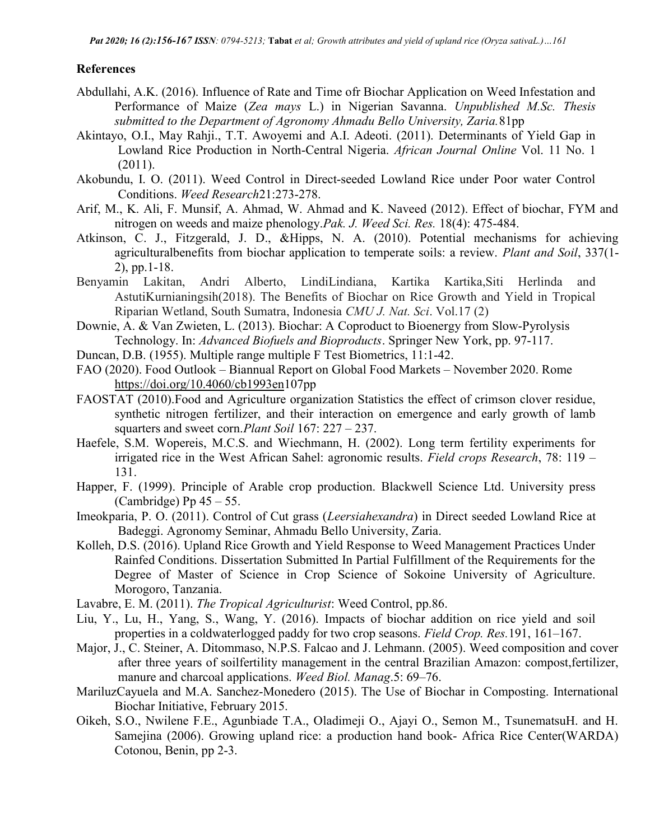### References

- Abdullahi, A.K. (2016). Influence of Rate and Time ofr Biochar Application on Weed Infestation and Performance of Maize (Zea mays L.) in Nigerian Savanna. Unpublished M.Sc. Thesis submitted to the Department of Agronomy Ahmadu Bello University, Zaria.81pp
- Akintayo, O.I., May Rahji., T.T. Awoyemi and A.I. Adeoti. (2011). Determinants of Yield Gap in Lowland Rice Production in North-Central Nigeria. African Journal Online Vol. 11 No. 1 (2011).
- Akobundu, I. O. (2011). Weed Control in Direct-seeded Lowland Rice under Poor water Control Conditions. Weed Research21:273-278.
- Arif, M., K. Ali, F. Munsif, A. Ahmad, W. Ahmad and K. Naveed (2012). Effect of biochar, FYM and nitrogen on weeds and maize phenology. Pak. J. Weed Sci. Res. 18(4): 475-484.
- Atkinson, C. J., Fitzgerald, J. D., &Hipps, N. A. (2010). Potential mechanisms for achieving agriculturalbenefits from biochar application to temperate soils: a review. Plant and Soil, 337(1- 2), pp.1-18.
- Benyamin Lakitan, Andri Alberto, LindiLindiana, Kartika Kartika,Siti Herlinda and AstutiKurnianingsih(2018). The Benefits of Biochar on Rice Growth and Yield in Tropical Riparian Wetland, South Sumatra, Indonesia CMU J. Nat. Sci. Vol.17 (2)
- Downie, A. & Van Zwieten, L. (2013). Biochar: A Coproduct to Bioenergy from Slow-Pyrolysis Technology. In: Advanced Biofuels and Bioproducts. Springer New York, pp. 97-117.
- Duncan, D.B. (1955). Multiple range multiple F Test Biometrics, 11:1-42.
- FAO (2020). Food Outlook Biannual Report on Global Food Markets November 2020. Rome https://doi.org/10.4060/cb1993en107pp
- FAOSTAT (2010).Food and Agriculture organization Statistics the effect of crimson clover residue, synthetic nitrogen fertilizer, and their interaction on emergence and early growth of lamb squarters and sweet corn. Plant Soil 167: 227 – 237.
- Haefele, S.M. Wopereis, M.C.S. and Wiechmann, H. (2002). Long term fertility experiments for irrigated rice in the West African Sahel: agronomic results. Field crops Research, 78: 119 – 131.
- Happer, F. (1999). Principle of Arable crop production. Blackwell Science Ltd. University press (Cambridge) Pp  $45 - 55$ .
- Imeokparia, P. O. (2011). Control of Cut grass (Leersiahexandra) in Direct seeded Lowland Rice at Badeggi. Agronomy Seminar, Ahmadu Bello University, Zaria.
- Kolleh, D.S. (2016). Upland Rice Growth and Yield Response to Weed Management Practices Under Rainfed Conditions. Dissertation Submitted In Partial Fulfillment of the Requirements for the Degree of Master of Science in Crop Science of Sokoine University of Agriculture. Morogoro, Tanzania.
- Lavabre, E. M. (2011). The Tropical Agriculturist: Weed Control, pp.86.
- Liu, Y., Lu, H., Yang, S., Wang, Y. (2016). Impacts of biochar addition on rice yield and soil properties in a coldwaterlogged paddy for two crop seasons. Field Crop. Res.191, 161–167.
- Major, J., C. Steiner, A. Ditommaso, N.P.S. Falcao and J. Lehmann. (2005). Weed composition and cover after three years of soilfertility management in the central Brazilian Amazon: compost,fertilizer, manure and charcoal applications. Weed Biol. Manag.5: 69–76.
- MariluzCayuela and M.A. Sanchez-Monedero (2015). The Use of Biochar in Composting. International Biochar Initiative, February 2015.
- Oikeh, S.O., Nwilene F.E., Agunbiade T.A., Oladimeji O., Ajayi O., Semon M., TsunematsuH. and H. Samejina (2006). Growing upland rice: a production hand book- Africa Rice Center(WARDA) Cotonou, Benin, pp 2-3.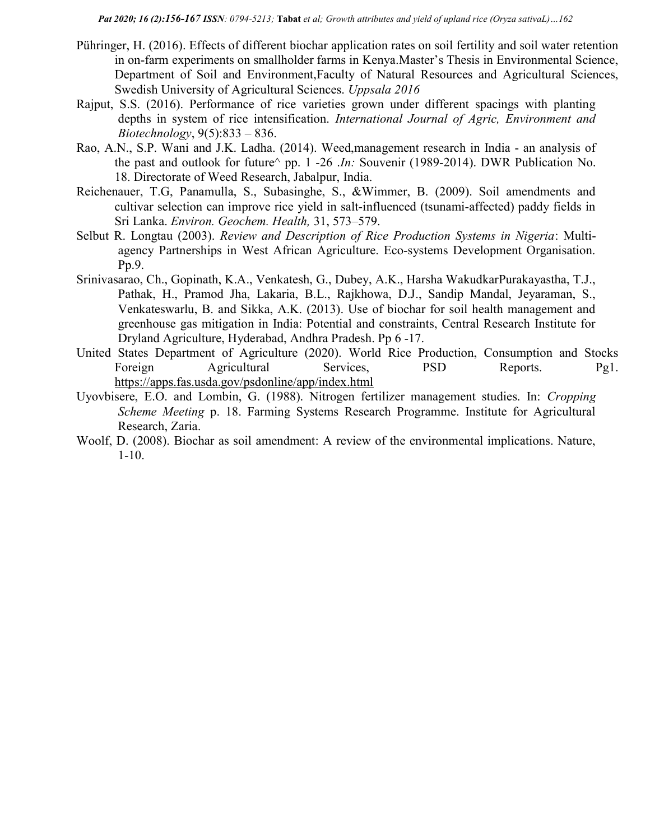- Pühringer, H. (2016). Effects of different biochar application rates on soil fertility and soil water retention in on-farm experiments on smallholder farms in Kenya.Master's Thesis in Environmental Science, Department of Soil and Environment,Faculty of Natural Resources and Agricultural Sciences, Swedish University of Agricultural Sciences. Uppsala 2016
- Rajput, S.S. (2016). Performance of rice varieties grown under different spacings with planting depths in system of rice intensification. International Journal of Agric, Environment and Biotechnology,  $9(5):833 - 836$ .
- Rao, A.N., S.P. Wani and J.K. Ladha. (2014). Weed,management research in India an analysis of the past and outlook for future $\land$  pp. 1 -26 .In: Souvenir (1989-2014). DWR Publication No. 18. Directorate of Weed Research, Jabalpur, India.
- Reichenauer, T.G, Panamulla, S., Subasinghe, S., &Wimmer, B. (2009). Soil amendments and cultivar selection can improve rice yield in salt-influenced (tsunami-affected) paddy fields in Sri Lanka. Environ. Geochem. Health, 31, 573–579.
- Selbut R. Longtau (2003). Review and Description of Rice Production Systems in Nigeria: Multiagency Partnerships in West African Agriculture. Eco-systems Development Organisation. Pp.9.
- Srinivasarao, Ch., Gopinath, K.A., Venkatesh, G., Dubey, A.K., Harsha WakudkarPurakayastha, T.J., Pathak, H., Pramod Jha, Lakaria, B.L., Rajkhowa, D.J., Sandip Mandal, Jeyaraman, S., Venkateswarlu, B. and Sikka, A.K. (2013). Use of biochar for soil health management and greenhouse gas mitigation in India: Potential and constraints, Central Research Institute for Dryland Agriculture, Hyderabad, Andhra Pradesh. Pp 6 -17.
- United States Department of Agriculture (2020). World Rice Production, Consumption and Stocks Foreign Agricultural Services, PSD Reports. Pg1. https://apps.fas.usda.gov/psdonline/app/index.html
- Uyovbisere, E.O. and Lombin, G. (1988). Nitrogen fertilizer management studies. In: Cropping Scheme Meeting p. 18. Farming Systems Research Programme. Institute for Agricultural Research, Zaria.
- Woolf, D. (2008). Biochar as soil amendment: A review of the environmental implications. Nature, 1-10.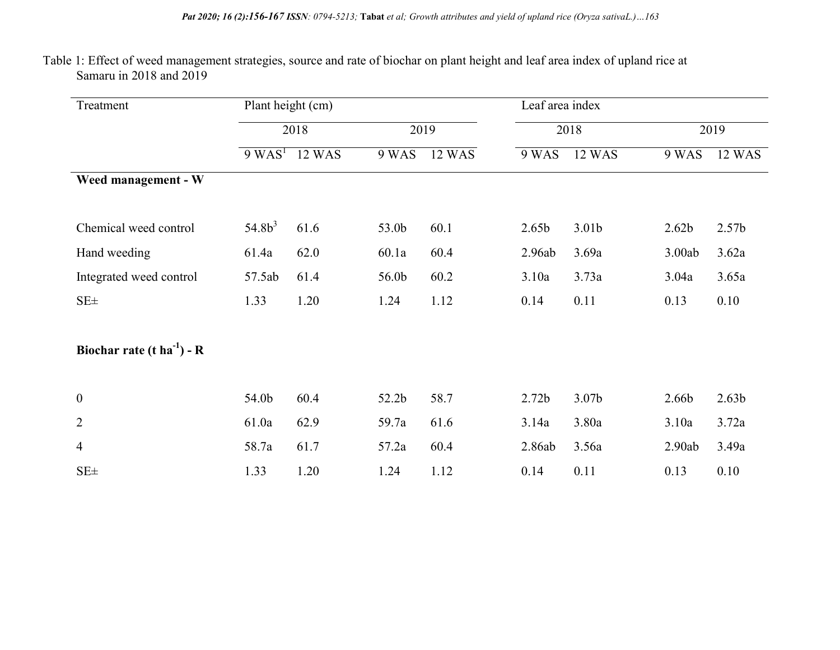### Table 1: Effect of weed management strategies, source and rate of biochar on plant height and leaf area index of upland rice at Samaru in 2018 and 2019

| Treatment                              |           | Plant height (cm)           |       |        | Leaf area index   |                   |                   |                   |
|----------------------------------------|-----------|-----------------------------|-------|--------|-------------------|-------------------|-------------------|-------------------|
|                                        |           | 2018<br>2019                |       | 2018   |                   | 2019              |                   |                   |
|                                        |           | $9$ WAS <sup>1</sup> 12 WAS | 9 WAS | 12 WAS | 9 WAS             | 12 WAS            | 9 WAS             | 12 WAS            |
| Weed management - W                    |           |                             |       |        |                   |                   |                   |                   |
| Chemical weed control                  | $54.8b^3$ | 61.6                        | 53.0b | 60.1   | 2.65 <sub>b</sub> | 3.01 <sub>b</sub> | 2.62 <sub>b</sub> | 2.57 <sub>b</sub> |
| Hand weeding                           | 61.4a     | 62.0                        | 60.1a | 60.4   | 2.96ab            | 3.69a             | 3.00ab            | 3.62a             |
| Integrated weed control                | 57.5ab    | 61.4                        | 56.0b | 60.2   | 3.10a             | 3.73a             | 3.04a             | 3.65a             |
| $SE\pm$                                | 1.33      | 1.20                        | 1.24  | 1.12   | 0.14              | 0.11              | 0.13              | 0.10              |
| Biochar rate $(t \text{ ha}^{-1})$ - R |           |                             |       |        |                   |                   |                   |                   |
| $\mathbf{0}$                           | 54.0b     | 60.4                        | 52.2b | 58.7   | 2.72 <sub>b</sub> | 3.07b             | 2.66b             | 2.63 <sub>b</sub> |
| $\overline{2}$                         | 61.0a     | 62.9                        | 59.7a | 61.6   | 3.14a             | 3.80a             | 3.10a             | 3.72a             |
| $\overline{4}$                         | 58.7a     | 61.7                        | 57.2a | 60.4   | 2.86ab            | 3.56a             | 2.90ab            | 3.49a             |
| SE <sub>±</sub>                        | 1.33      | 1.20                        | 1.24  | 1.12   | 0.14              | 0.11              | 0.13              | 0.10              |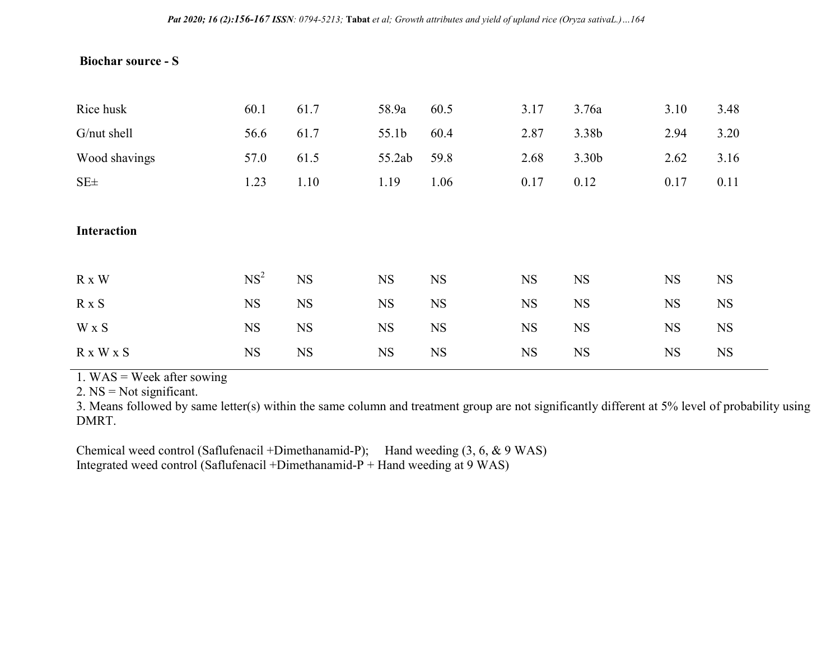### Biochar source - S

| Rice husk          | 60.1            | 61.7      | 58.9a     | 60.5      | 3.17      | 3.76a     | 3.10      | 3.48      |
|--------------------|-----------------|-----------|-----------|-----------|-----------|-----------|-----------|-----------|
| G/nut shell        | 56.6            | 61.7      | 55.1b     | 60.4      | 2.87      | 3.38b     | 2.94      | 3.20      |
| Wood shavings      | 57.0            | 61.5      | 55.2ab    | 59.8      | 2.68      | 3.30b     | 2.62      | 3.16      |
| $SE\pm$            | 1.23            | 1.10      | 1.19      | 1.06      | 0.17      | 0.12      | 0.17      | 0.11      |
|                    |                 |           |           |           |           |           |           |           |
| <b>Interaction</b> |                 |           |           |           |           |           |           |           |
|                    |                 |           |           |           |           |           |           |           |
| R x W              | NS <sup>2</sup> | <b>NS</b> | <b>NS</b> | <b>NS</b> | <b>NS</b> | <b>NS</b> | <b>NS</b> | <b>NS</b> |
| $R \times S$       | <b>NS</b>       | <b>NS</b> | <b>NS</b> | <b>NS</b> | <b>NS</b> | <b>NS</b> | <b>NS</b> | <b>NS</b> |
| W x S              | <b>NS</b>       | <b>NS</b> | <b>NS</b> | <b>NS</b> | <b>NS</b> | <b>NS</b> | <b>NS</b> | <b>NS</b> |
| R x W x S          | <b>NS</b>       | <b>NS</b> | <b>NS</b> | <b>NS</b> | <b>NS</b> | <b>NS</b> | <b>NS</b> | <b>NS</b> |

1. WAS = Week after sowing

2. NS = Not significant.

3. Means followed by same letter(s) within the same column and treatment group are not significantly different at 5% level of probability using DMRT.

Chemical weed control (Saflufenacil +Dimethanamid-P); Hand weeding (3, 6, & 9 WAS) Integrated weed control (Saflufenacil +Dimethanamid- $P$  + Hand weeding at 9 WAS)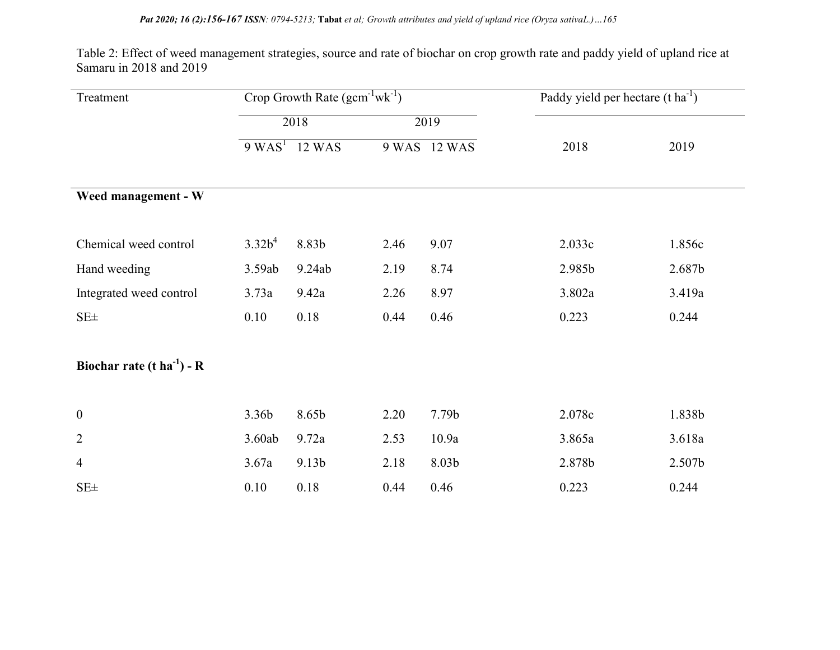Table 2: Effect of weed management strategies, source and rate of biochar on crop growth rate and paddy yield of upland rice at Samaru in 2018 and 2019

| Treatment                       |                    | Crop Growth Rate $(gcm^{-1}wk^{-1})$ |      |              | Paddy yield per hectare $(t \text{ ha}^{-1})$ |        |
|---------------------------------|--------------------|--------------------------------------|------|--------------|-----------------------------------------------|--------|
|                                 |                    | 2018                                 |      | 2019         |                                               |        |
|                                 | 9 WAS <sup>T</sup> | 12 WAS                               |      | 9 WAS 12 WAS | 2018                                          | 2019   |
| Weed management - W             |                    |                                      |      |              |                                               |        |
| Chemical weed control           | $3.32b^4$          | 8.83b                                | 2.46 | 9.07         | 2.033c                                        | 1.856c |
| Hand weeding                    | 3.59ab             | 9.24ab                               | 2.19 | 8.74         | 2.985b                                        | 2.687b |
| Integrated weed control         | 3.73a              | 9.42a                                | 2.26 | 8.97         | 3.802a                                        | 3.419a |
| $SE\pm$                         | 0.10               | 0.18                                 | 0.44 | 0.46         | 0.223                                         | 0.244  |
| Biochar rate (t $ha^{-1}$ ) - R |                    |                                      |      |              |                                               |        |
| $\boldsymbol{0}$                | 3.36b              | 8.65b                                | 2.20 | 7.79b        | 2.078c                                        | 1.838b |
| $\overline{2}$                  | 3.60ab             | 9.72a                                | 2.53 | 10.9a        | 3.865a                                        | 3.618a |
| $\overline{4}$                  | 3.67a              | 9.13b                                | 2.18 | 8.03b        | 2.878b                                        | 2.507b |
| SE <sub>±</sub>                 | 0.10               | 0.18                                 | 0.44 | 0.46         | 0.223                                         | 0.244  |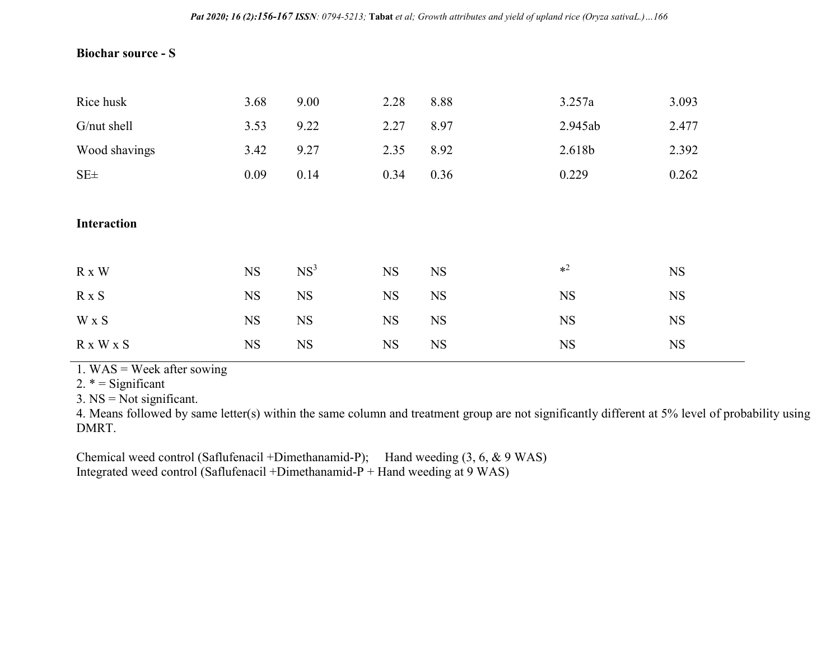### Biochar source - S

| Rice husk          | 3.68      | 9.00            | 2.28      | 8.88      | 3.257a    | 3.093     |
|--------------------|-----------|-----------------|-----------|-----------|-----------|-----------|
| G/nut shell        | 3.53      | 9.22            | 2.27      | 8.97      | 2.945ab   | 2.477     |
| Wood shavings      | 3.42      | 9.27            | 2.35      | 8.92      | 2.618b    | 2.392     |
| $SE\pm$            | 0.09      | 0.14            | 0.34      | 0.36      | 0.229     | 0.262     |
|                    |           |                 |           |           |           |           |
| <b>Interaction</b> |           |                 |           |           |           |           |
|                    |           |                 |           |           |           |           |
| R x W              | <b>NS</b> | NS <sup>3</sup> | <b>NS</b> | <b>NS</b> | $*^2$     | <b>NS</b> |
| $R \times S$       | <b>NS</b> | <b>NS</b>       | <b>NS</b> | <b>NS</b> | <b>NS</b> | <b>NS</b> |
| W x S              | <b>NS</b> | <b>NS</b>       | <b>NS</b> | <b>NS</b> | <b>NS</b> | <b>NS</b> |
| R x W x S          | <b>NS</b> | <b>NS</b>       | <b>NS</b> | <b>NS</b> | <b>NS</b> | <b>NS</b> |

1. WAS = Week after sowing

2.  $* =$  Significant

 $3. NS = Not significant.$ 

4. Means followed by same letter(s) within the same column and treatment group are not significantly different at 5% level of probability using DMRT.

Chemical weed control (Saflufenacil +Dimethanamid-P); Hand weeding (3, 6, & 9 WAS) Integrated weed control (Saflufenacil +Dimethanamid-P + Hand weeding at 9 WAS)